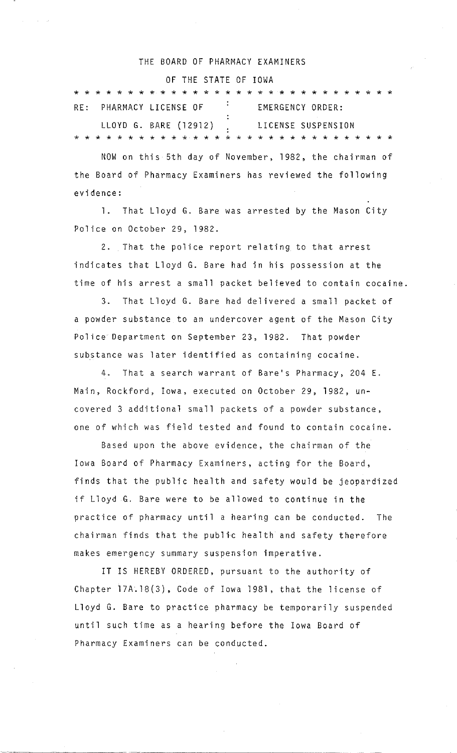# THE BOARD OF PHARMACY EXAMINERS

# OF THE STATE OF IOWA

|  |  |  |  |  |  | RE: PHARMACY LICENSE OF                    |  |  |  |  |  | EMERGENCY ORDER: |  |  |  |  |  |  |  |  |  |  |
|--|--|--|--|--|--|--------------------------------------------|--|--|--|--|--|------------------|--|--|--|--|--|--|--|--|--|--|
|  |  |  |  |  |  | LLOYD G. BARE (12912) . LICENSE SUSPENSION |  |  |  |  |  |                  |  |  |  |  |  |  |  |  |  |  |
|  |  |  |  |  |  |                                            |  |  |  |  |  |                  |  |  |  |  |  |  |  |  |  |  |

NOW on this 5th day of November, 1982, the chairman of the Board of Pharmacy Examiners has reviewed the following evidence:

l. That Lloyd G. Bare was arrested by the Mason City Police on October 29, 1982.

2. That the police report relating to that arrest indicates that Lloyd G. Bare had in his possession at the time of his arrest a small packet believed to contain cocaine.

3. That Lloyd G. Bare had delivered a small packet of a powder substance to an undercover agent of the Mason City Police Department on September 23, 1982. That powder substance was later identified as containing cocaine.

4. That a search warrant of Bare's Pharmacy, 204 E. Main, Rockford, Iowa, executed on October 29, 1982, uncovered 3 additional small paekets of a powder substance, one of which was field tested and found to contain cocaine.

Based upon the above evidence, the chairman of the Iowa Board of Pharmacy Examiners, acting for the Board, finds that the public health and safety would be jeopardized if Lloyd G. Bare were tobe allowed to continue in the practice of pharmacy until a hearing can be conducted. The chairman finds that the public health and safety therefore makes emergency summary suspension imperative.

IT IS HEREBY ORDERED, pursuant to the authority of Chapter l?A.18(3), Code of Iowa 1981, that the license of Lloyd G. Bare to practice pharmacy be temporarily suspended until such time asa hearing before the Iowa Board of Pharmacy Examiners can be conducted.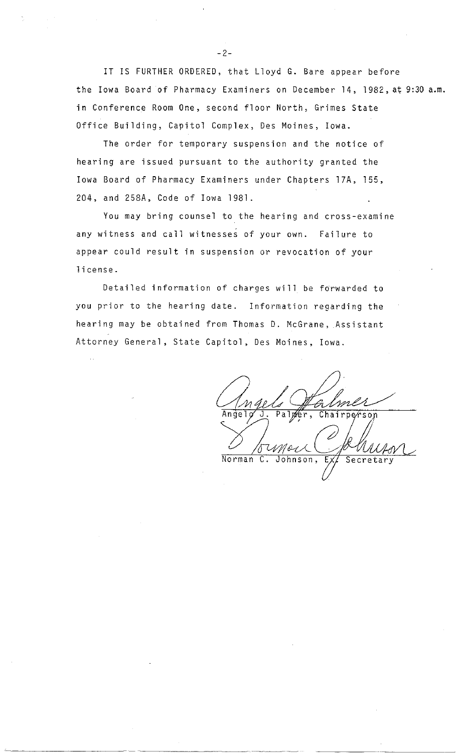IT IS FURTHER ORDERED, that Lloyd G. Bare appear before the Iowa Board of Pharmacy Examiners on December 14, 1982, at 9:30 a.m. in Conference Room One, second floor North, Grimes State Office Building, Capitol Complex, Des Moines, Iowa.

The order for temporary suspension and the notice of hearing are issued pursuant to the authority granted the Iowa Board of Pharmacy Examiners under Chapters 17A, 155, 204, and 258A, Code of Iowa 1981.

You may bring counsel to the hearing and cross-examine any witness and call witnesses of your own. Failure to appear could result in suspension or revocation of your license.

Detailed information of charges will be forwarded to you prior to the hearing date. Information regarding the hearing may be abtained from Thomas D. McGrane, Assistant Attorney General, State Capitol, Des Moines, Iowa.

hairperson Norman C

 $-2-$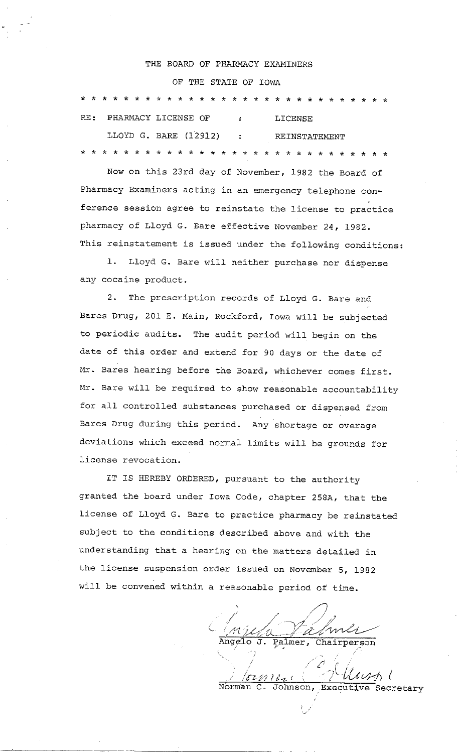#### THE BOARD OF PHARMACY EXAMINERS

# OF THE STATE OF IOWA

\* \* \* \* \* \* \* \* \* \* \* \* \* \* \* \* \* \* \* \* \* \* \* \* \* \* \* \* \* RE: PHARMACY LICENSE OF : LICENSE LLOYD G. BARE (12912) : REINSTATEMENT \* \* \* \* \* \* \* \* \* \* \* \* \* \* \* \* \* \* \* \* \* \* \* \* \* \* \* \* \*

Now on this 23rd day of November, 1982 the Board of Pharmacy Examiners acting in an emergency telephone conference session agree to reinstate the license to practice pharmacy of Lloyd G. Bare effective November 24, 1982. This reinstatement is issued under the following conditions:

l. Lloyd G. Bare will neither purchase nor dispense any cocaine product.

2. The prescription records of Lloyd G. Bare and Bares Drug, 201 E. Main, Rockford, Iowa will be subjected to periodic audits. The audit period will begin on the date of this order and extend for 90 days or the date of Mr. Bares hearing before the Board, whichever comes first. Mr. Bare will be required to show reasonable accountability for all controlled substances purchased or dispensed from Bares Drug during this period. Any shortage or overage deviations which exceed normal limits will be grounds for license revocation.

IT IS HEREBY ORDERED, pursuant to the authority granted the board under Iowa Code, chapter 258A, that the license of Lloyd G. Bare to practice pharmacy be reinstated subject to the conditions described above and with the understanding that a hearing on the matters detailed in the license suspension order issued on November 5, 1982 will be convened within a reasonable period of time.

Angelo J. Palmer, Chairperson

 $\frac{1}{2}$  ,  $\frac{1}{2}$  .  $\frac{1}{2}$   $\frac{1}{2}$   $\frac{1}{2}$   $\frac{1}{2}$   $\frac{1}{2}$   $\frac{1}{2}$   $\frac{1}{2}$   $\frac{1}{2}$   $\frac{1}{2}$   $\frac{1}{2}$   $\frac{1}{2}$   $\frac{1}{2}$   $\frac{1}{2}$   $\frac{1}{2}$   $\frac{1}{2}$   $\frac{1}{2}$   $\frac{1}{2}$   $\frac{1}{2}$   $\frac{1}{2}$   $\frac{1}{2}$ Norman C. Johnson, Executive Secretary

*l*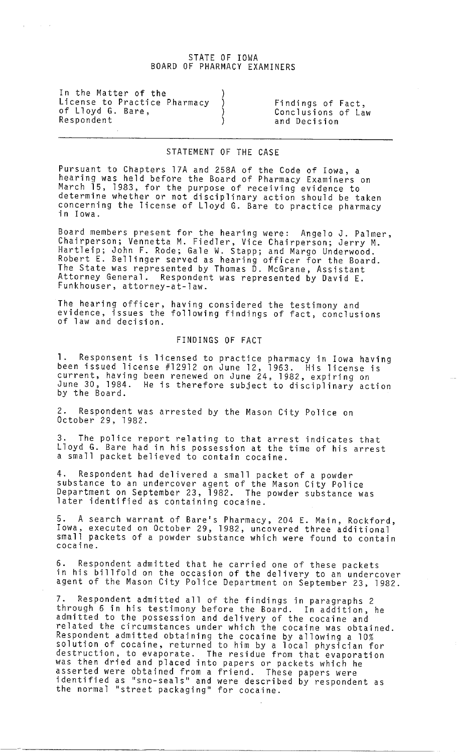## STATE OF IOWA BOARD OF PHARMACY EXAMINERS

In the Matter of the License to Practice Pharmacy ) Findings of Fact,<br>of Lloyd G. Bare, (a) (Conclusions of La of Lloyd G. Bare, ) Conelusions of Law Respondent (and Decision ) and Decision

## STATEMENT OF THE CASE

Pursuant to Chapters 17A and 258A of the Code of Iowa, a hearing was held before the Board of Pharmaey Examiners on March 15, 1983, for the purpose of receiving evidence to determine whether or not diseiplinary aetion should be taken concerning the license of Lloyd G. Bare to practice pharmacy<br>in Iowa.

Board members present for the hearing were: Angelo J. Palmer, Chairperson; Vennetta M. Fiedler, Viee Chairperson; Jerry M. Hartleip; John F. Rode; Gale W. Stapp; and Margo Underwood. Robert E. Bellinger served as hearing offieer for the Board. The State was represented by Thomas D. MeGrane, Assistant Attorney General. Respondent was represented by David E. Funkhouser, attorney-at-law.

The hearing offieer, having eonsidered the testimony and evidenee, issues the following findings of faet, eonelusions of law and deeision.

## FINDINGS OF FACT

l. Responsent is lieensed to praetiee pharmaey in Iowa having been issued lieense #12912 on June 12, 1963. His lieense is eurrent, having been renewed on June 24, 1982, expiring on June 30, 1984. He is therefore subjeet to diseiplinary aetion by the Board.

Respondent was arrested by the Mason City Police on Oetober 29, 1982.

3. The poliee report relating to that arrest indieates that Lloyd G. Bare had in his possession at the time of his arrest a small paeket believed to eontain eoeaine.

4. Respondent had delivered a small paeket of a powder substanee to an undereover agent of the Mason City Poliee Department on September 23, 1982. The powder substanee was later identified as containing cocaine.

5. A seareh warrant of Bare's Pharmaey, 204 E. Main, Roekford, Iowa, exeeuted on Oetober 29, 1982, uneovered three additional small packets of a powder substance which were found to contain eoeaine.

6. Respondent admitted that he earried one of these paekets in his billfold on the occasion of the delivery to an undercover agent of the Mason City Police Department on September 23, 1982.

7. Respondent admitted all of the findings in paragraphs 2 through 6 in his testimony before the Board. In addition, he admitted to the possession and delivery of the eoeaine and related the eireumstanees under whieh the eoeaine was obtained. Respondent admitted obtaining the eoeaine by allowing a 10% solution of cocaine, returned to him by a local physician for destruetion, to evaporate. The residue from that evaporation was then dried and plaeed into papers or paekets whieh he asserted were obtained from a friend. These papers were identified as ''sno-seals'' and were deseribed by respondent as the normal ''street paekaging'' for eoeaine.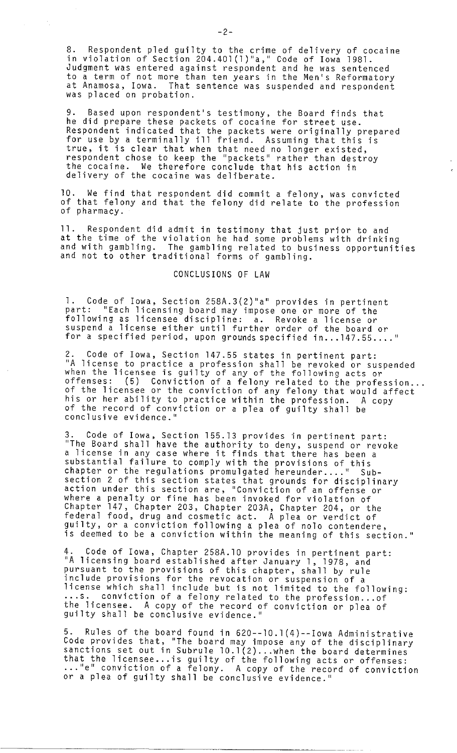8. Respondent pled guilty to the crime of delivery of cocaine in violation of Seetion 204.40l(l)"a," Code of Iowa 1981. Judgment was entered against respondent and he was senteneed toa term of not more than ten years in the Men's Reformatory at Anamosa, Iowa. That sentenee was suspended and respondent was plaeed on probation.

9. Based upon respondent's testimony, the Board finds that he did prepare these paekets of eoeaine for street use. Respondent indieated that the paekets were originally prepared for use by a terminally ill friend. Assuming that this is true, it is elear that when that need no longer existed, respondent ehose to keep the "paekets" rather than destroy the cocaine. We therefore conclude that his action in delivery of the cocaine was deliberate.

10. We find that respondent did eommit a felony, was eonvieted of that felony and that the felony did relate to the profession of pharmaey.

11. Respondent did admit in testimony that just prior to and at the time of the violation he had some problems with drinking and with gambling. The gambling related to business opportunities<br>and not to other traditional forms of gambling.

### CONCLUSIONS OF LAW

l. Code of Iowa, Seetion 258A.3(2)''a'' provides in pertinent part: "Each licensing board may impose one or more of the following as lieensee diseipline: a. Revoke a lieense or suspend a lieense either until further order of the board or for a specified period, upon grounds specified in...147.55...."

2. Code of Iowa, Section 147.55 states in pertinent part:<br>"A license to practice a profession shall be revoked or suspended ''A lieense to praetiee a profession shall be revoked or suspended when the lieensee is guilty of any of the following acts or when the ricensee is guilty of any of the forfowing acts or<br>offenses: (5) Conviction of a felony related to the profession...<br>of the licensee or the conviction of any felony that would affect his or her ability to practice within the profession. A copy of the record of conviction or a plea of guilty shall be eonelusive evidenee.''

Code of Iowa, Section 155.13 provides in pertinent part: ''The Board shall have the authority to deny, suspend or revoke The board shart have the authority to deny, suspend or rev<br>a license in any case where it finds that there has been a substantial failure to comply with the provisions of this<br>chapter or the regulations promulgated hereunder...." Subseetion 2 of this seetion states that grounds for diseiplinary aetion under this seetion are, ''Convietion of an offense or where a penalty or fine has been invoked for violation of Chapter 147, Chapter 203, Chapter 203A, Chapter 204, or the federal food, drug and cosmetic act. A plea or verdict of guilty, ora eonvietion following a plea of nolo eontendere, is deemed tobe a eonvietion within the meaning of this seetion.''

4. Code of Iowa, Chapter 258A.10 provides in pertinent part: ''A lieensing board established after January l, 1978, and pursuant to the provisions of this ehapter, shall by rule inelude provisions for the revoeation or suspension of a lieense whieh shall inelude but is not limited to the following: ... s. eonvietion of a felony related to the profession ... of the lieensee. A eopy of the reeord of eonvietion or plea of guilty shall be eonelusive evidenee.''

Rules of the board found in  $620--10.1(4)-Iow$ a Administrative Code provides that, "The board may impose any of the disciplinary<br>sanctions set out in Subrule 10.1(2)...when the board determines<br>that the licensee...is guilty of the following acts or offenses: end the ricensee... is guitty of the following acts or offenses:<br>... "e" conviction of a felony. A copy of the record of conviction or a plea of guilty shall be conclusive evidence."